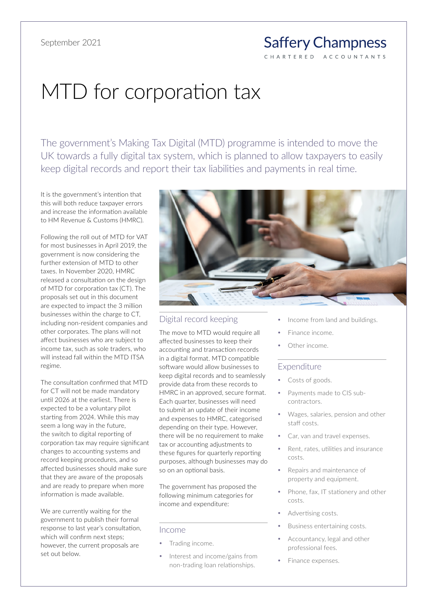#### **Saffery Champness** C H A R T E R E D ACCOUNTANTS

# MTD for corporation tax

The government's Making Tax Digital (MTD) programme is intended to move the UK towards a fully digital tax system, which is planned to allow taxpayers to easily keep digital records and report their tax liabilities and payments in real time.

It is the government's intention that this will both reduce taxpayer errors and increase the information available to HM Revenue & Customs (HMRC).

Following the roll out of MTD for VAT for most businesses in April 2019, the government is now considering the further extension of MTD to other taxes. In November 2020, HMRC released a consultation on the design of MTD for corporation tax (CT). The proposals set out in this document are expected to impact the 3 million businesses within the charge to CT, including non-resident companies and other corporates. The plans will not affect businesses who are subject to income tax, such as sole traders, who will instead fall within the MTD ITSA regime.

The consultation confirmed that MTD for CT will not be made mandatory until 2026 at the earliest. There is expected to be a voluntary pilot starting from 2024. While this may seem a long way in the future, the switch to digital reporting of corporation tax may require significant changes to accounting systems and record keeping procedures, and so affected businesses should make sure that they are aware of the proposals and are ready to prepare when more information is made available.

We are currently waiting for the government to publish their formal response to last year's consultation, which will confirm next steps; however, the current proposals are set out below.



### Digital record keeping

The move to MTD would require all affected businesses to keep their accounting and transaction records in a digital format. MTD compatible software would allow businesses to keep digital records and to seamlessly provide data from these records to HMRC in an approved, secure format. Each quarter, businesses will need to submit an update of their income and expenses to HMRC, categorised depending on their type. However, there will be no requirement to make tax or accounting adjustments to these figures for quarterly reporting purposes, although businesses may do so on an optional basis.

The government has proposed the following minimum categories for income and expenditure:

#### Income

- Trading income.
- Interest and income/gains from non-trading loan relationships.
- Income from land and buildings.
- Finance income.
- Other income.

#### Expenditure

- Costs of goods.
- Payments made to CIS subcontractors.
- y Wages, salaries, pension and other staff costs.
- Car, van and travel expenses.
- Rent, rates, utilities and insurance costs.
- Repairs and maintenance of property and equipment.
- Phone, fax, IT stationery and other costs.
- Advertising costs.
- Business entertaining costs.
- Accountancy, legal and other professional fees.
- Finance expenses.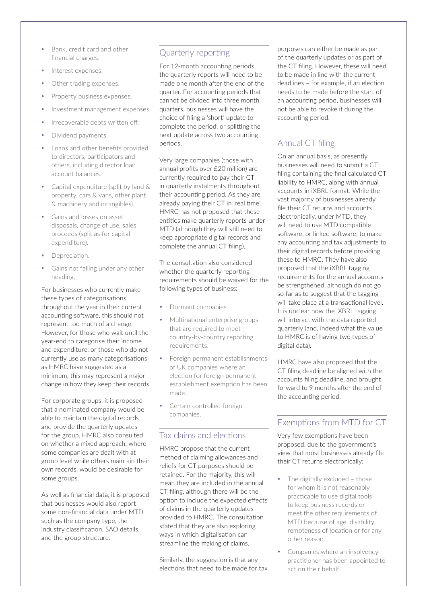- Bank, credit card and other financial charges.
- Interest expenses.
- Other trading expenses.
- Property business expenses.
- Investment management expenses.
- Irrecoverable debts written off.
- Dividend payments.
- Loans and other benefits provided to directors, participators and others, including director loan account balances.
- Capital expenditure (split by land & property, cars & vans, other plant & machinery and intangibles).
- Gains and losses on asset disposals, change of use, sales proceeds (split as for capital expenditure).
- Depreciation.
- Gains not falling under any other heading.

For businesses who currently make these types of categorisations throughout the year in their current accounting software, this should not represent too much of a change. However, for those who wait until the year-end to categorise their income and expenditure, or those who do not currently use as many categorisations as HMRC have suggested as a minimum, this may represent a major change in how they keep their records.

For corporate groups, it is proposed that a nominated company would be able to maintain the digital records and provide the quarterly updates for the group. HMRC also consulted on whether a mixed approach, where some companies are dealt with at group level while others maintain their own records, would be desirable for some groups.

As well as financial data, it is proposed that businesses would also report some non-financial data under MTD, such as the company type, the industry classification, SAO details, and the group structure.

## Quarterly reporting

For 12-month accounting periods, the quarterly reports will need to be made one month after the end of the quarter. For accounting periods that cannot be divided into three month quarters, businesses will have the choice of filing a 'short' update to complete the period, or splitting the next update across two accounting periods.

Very large companies (those with annual profits over £20 million) are currently required to pay their CT in quarterly instalments throughout their accounting period. As they are already paying their CT in 'real time', HMRC has not proposed that these entities make quarterly reports under MTD (although they will still need to keep appropriate digital records and complete the annual CT filing).

The consultation also considered whether the quarterly reporting requirements should be waived for the following types of business:

- Dormant companies.
- Multinational enterprise groups that are required to meet country-by-country reporting requirements.
- Foreign permanent establishments of UK companies where an election for foreign permanent establishment exemption has been made.
- Certain controlled foreign companies.

### Tax claims and elections

HMRC propose that the current method of claiming allowances and reliefs for CT purposes should be retained. For the majority, this will mean they are included in the annual CT filing, although there will be the option to include the expected effects of claims in the quarterly updates provided to HMRC. The consultation stated that they are also exploring ways in which digitalisation can streamline the making of claims.

Similarly, the suggestion is that any elections that need to be made for tax purposes can either be made as part of the quarterly updates or as part of the CT filing. However, these will need to be made in line with the current deadlines – for example, if an election needs to be made before the start of an accounting period, businesses will not be able to revoke it during the accounting period.

# Annual CT filing

On an annual basis, as presently, businesses will need to submit a CT filing containing the final calculated CT liability to HMRC, along with annual accounts in iXBRL format. While the vast majority of businesses already file their CT returns and accounts electronically, under MTD, they will need to use MTD compatible software, or linked software, to make any accounting and tax adjustments to their digital records before providing these to HMRC. They have also proposed that the iXBRL tagging requirements for the annual accounts be strengthened, although do not go so far as to suggest that the tagging will take place at a transactional level. It is unclear how the iXBRL tagging will interact with the data reported quarterly (and, indeed what the value to HMRC is of having two types of digital data).

HMRC have also proposed that the CT filing deadline be aligned with the accounts filing deadline, and brought forward to 9 months after the end of the accounting period.

## Exemptions from MTD for CT

Very few exemptions have been proposed, due to the government's view that most businesses already file their CT returns electronically:

- The digitally excluded those for whom it is not reasonably practicable to use digital tools to keep business records or meet the other requirements of MTD because of age, disability, remoteness of location or for any other reason.
- Companies where an insolvency practitioner has been appointed to act on their behalf.